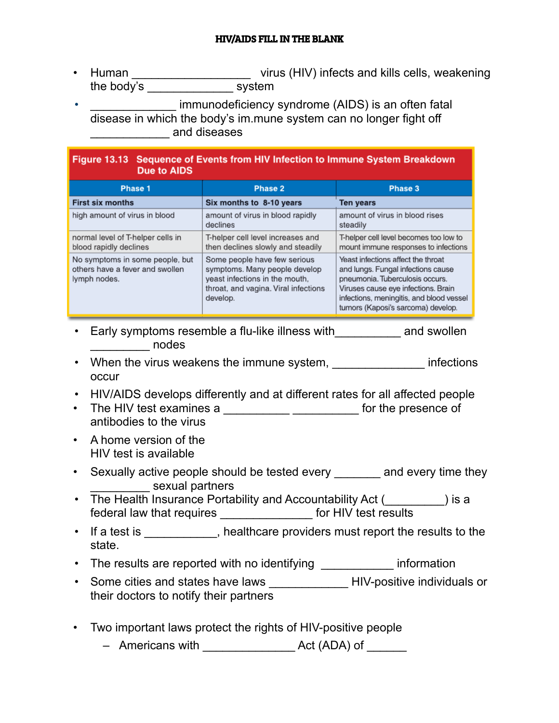## HIV/AIDS FILL IN THE BLANK

• Human \_\_\_\_\_\_\_\_\_\_\_\_\_\_\_\_\_\_\_\_\_\_\_\_\_\_\_\_ virus (HIV) infects and kills cells, weakening the body's system

immunodeficiency syndrome (AIDS) is an often fatal disease in which the body's im.mune system can no longer fight off example and diseases

| Figure 13.13 Sequence of Events from HIV Infection to Immune System Breakdown<br><b>Due to AIDS</b> |                                                                                                                                                     |                                                                                                                                                                                                                                      |
|-----------------------------------------------------------------------------------------------------|-----------------------------------------------------------------------------------------------------------------------------------------------------|--------------------------------------------------------------------------------------------------------------------------------------------------------------------------------------------------------------------------------------|
| Phase 1                                                                                             | Phase 2                                                                                                                                             | Phase 3                                                                                                                                                                                                                              |
| <b>First six months</b>                                                                             | Six months to 8-10 years                                                                                                                            | <b>Ten years</b>                                                                                                                                                                                                                     |
| high amount of virus in blood                                                                       | amount of virus in blood rapidly<br>declines                                                                                                        | amount of virus in blood rises<br>steadily                                                                                                                                                                                           |
| normal level of T-helper cells in<br>blood rapidly declines                                         | T-helper cell level increases and<br>then declines slowly and steadily                                                                              | T-helper cell level becomes too low to<br>mount immune responses to infections                                                                                                                                                       |
| No symptoms in some people, but<br>others have a fever and swollen<br>lymph nodes.                  | Some people have few serious<br>symptoms. Many people develop<br>yeast infections in the mouth,<br>throat, and vagina. Viral infections<br>develop. | Yeast infections affect the throat<br>and lungs. Fungal infections cause<br>pneumonia. Tuberculosis occurs.<br>Viruses cause eye infections. Brain<br>infections, meningitis, and blood vessel<br>tumors (Kaposi's sarcoma) develop. |

- Early symptoms resemble a flu-like illness with\_\_\_\_\_\_\_\_\_\_ and swollen  $\blacksquare$  nodes
- When the virus weakens the immune system, with the infections occur
- HIV/AIDS develops differently and at different rates for all affected people
- The HIV test examines a \_\_\_\_\_\_\_\_\_\_\_\_\_\_\_\_\_\_\_\_\_\_\_\_\_ for the presence of antibodies to the virus
- A home version of the HIV test is available
- Sexually active people should be tested every \_\_\_\_\_\_\_ and every time they \_\_\_\_\_\_\_\_\_ sexual partners
- The Health Insurance Portability and Accountability Act (
) is a federal law that requires \_\_\_\_\_\_\_\_\_\_\_\_\_\_ for HIV test results
- If a test is example althrace providers must report the results to the state.
- The results are reported with no identifying \_\_\_\_\_\_\_\_\_\_\_ information
- Some cities and states have laws \_\_\_\_\_\_\_\_\_\_\_\_\_\_\_HIV-positive individuals or their doctors to notify their partners
- Two important laws protect the rights of HIV-positive people
	- Americans with \_\_\_\_\_\_\_\_\_\_\_\_\_\_ Act (ADA) of \_\_\_\_\_\_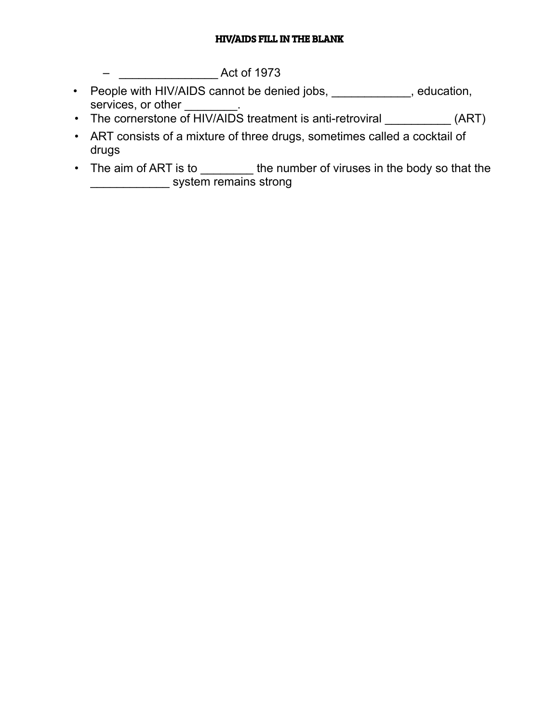## HIV/AIDS FILL IN THE BLANK

– \_\_\_\_\_\_\_\_\_\_\_\_\_\_\_ Act of 1973

- People with HIV/AIDS cannot be denied jobs, \_\_\_\_\_\_\_\_\_\_\_, education, services, or other
- The cornerstone of HIV/AIDS treatment is anti-retroviral \_\_\_\_\_\_\_\_\_\_\_\_\_ (ART)
- ART consists of a mixture of three drugs, sometimes called a cocktail of drugs
- The aim of ART is to \_\_\_\_\_\_\_\_\_ the number of viruses in the body so that the \_\_\_\_\_\_\_\_\_\_\_\_ system remains strong